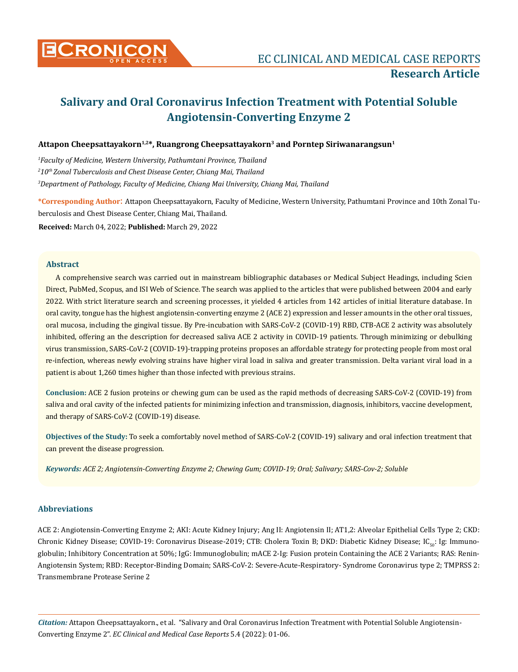

# **Salivary and Oral Coronavirus Infection Treatment with Potential Soluble Angiotensin-Converting Enzyme 2**

# Attapon Cheepsattayakorn<sup>1,2\*</sup>, Ruangrong Cheepsattayakorn<sup>3</sup> and Porntep Siriwanarangsun<sup>1</sup>

*1 Faculty of Medicine, Western University, Pathumtani Province, Thailand 2 10th Zonal Tuberculosis and Chest Disease Center, Chiang Mai, Thailand 3 Department of Pathology, Faculty of Medicine, Chiang Mai University, Chiang Mai, Thailand*

**\*Corresponding Author**: Attapon Cheepsattayakorn, Faculty of Medicine, Western University, Pathumtani Province and 10th Zonal Tuberculosis and Chest Disease Center, Chiang Mai, Thailand.

**Received:** March 04, 2022; **Published:** March 29, 2022

# **Abstract**

A comprehensive search was carried out in mainstream bibliographic databases or Medical Subject Headings, including Scien Direct, PubMed, Scopus, and ISI Web of Science. The search was applied to the articles that were published between 2004 and early 2022. With strict literature search and screening processes, it yielded 4 articles from 142 articles of initial literature database. In oral cavity, tongue has the highest angiotensin-converting enzyme 2 (ACE 2) expression and lesser amounts in the other oral tissues, oral mucosa, including the gingival tissue. By Pre-incubation with SARS-CoV-2 (COVID-19) RBD, CTB-ACE 2 activity was absolutely inhibited, offering an the description for decreased saliva ACE 2 activity in COVID-19 patients. Through minimizing or debulking virus transmission, SARS-CoV-2 (COVID-19)-trapping proteins proposes an affordable strategy for protecting people from most oral re-infection, whereas newly evolving strains have higher viral load in saliva and greater transmission. Delta variant viral load in a patient is about 1,260 times higher than those infected with previous strains.

**Conclusion:** ACE 2 fusion proteins or chewing gum can be used as the rapid methods of decreasing SARS-CoV-2 (COVID-19) from saliva and oral cavity of the infected patients for minimizing infection and transmission, diagnosis, inhibitors, vaccine development, and therapy of SARS-CoV-2 (COVID-19) disease.

**Objectives of the Study:** To seek a comfortably novel method of SARS-CoV-2 (COVID-19) salivary and oral infection treatment that can prevent the disease progression.

*Keywords: ACE 2; Angiotensin-Converting Enzyme 2; Chewing Gum; COVID-19; Oral; Salivary; SARS-Cov-2; Soluble* 

# **Abbreviations**

ACE 2: Angiotensin-Converting Enzyme 2; AKI: Acute Kidney Injury; Ang II: Angiotensin II; AT1,2: Alveolar Epithelial Cells Type 2; CKD: Chronic Kidney Disease; COVID-19: Coronavirus Disease-2019; CTB: Cholera Toxin B; DKD: Diabetic Kidney Disease; IC<sub>50</sub>: Ig: Immunoglobulin; Inhibitory Concentration at 50%; IgG: Immunoglobulin; mACE 2-Ig: Fusion protein Containing the ACE 2 Variants; RAS: Renin-Angiotensin System; RBD: Receptor-Binding Domain; SARS-CoV-2: Severe-Acute-Respiratory- Syndrome Coronavirus type 2; TMPRSS 2: Transmembrane Protease Serine 2

*Citation:* Attapon Cheepsattayakorn., et al. "Salivary and Oral Coronavirus Infection Treatment with Potential Soluble Angiotensin-Converting Enzyme 2". *EC Clinical and Medical Case Reports* 5.4 (2022): 01-06.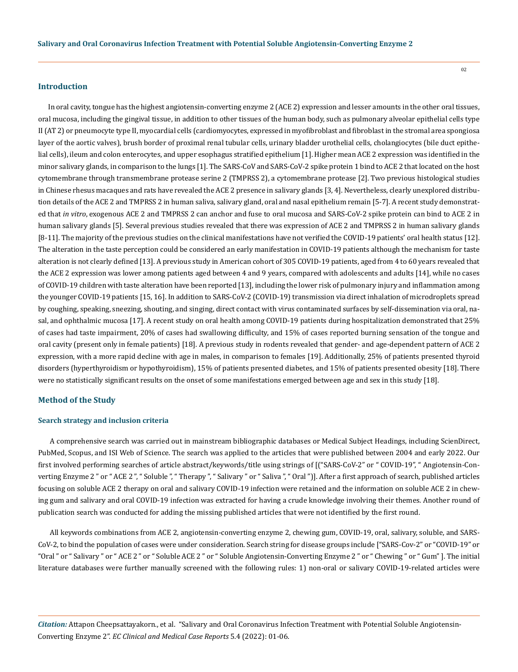## **Introduction**

In oral cavity, tongue has the highest angiotensin-converting enzyme 2 (ACE 2) expression and lesser amounts in the other oral tissues, oral mucosa, including the gingival tissue, in addition to other tissues of the human body, such as pulmonary alveolar epithelial cells type II (AT 2) or pneumocyte type II, myocardial cells (cardiomyocytes, expressed in myofibroblast and fibroblast in the stromal area spongiosa layer of the aortic valves), brush border of proximal renal tubular cells, urinary bladder urothelial cells, cholangiocytes (bile duct epithelial cells), ileum and colon enterocytes, and upper esophagus stratified epithelium [1]. Higher mean ACE 2 expression was identified in the minor salivary glands, in comparison to the lungs [1]. The SARS-CoV and SARS-CoV-2 spike protein 1 bind to ACE 2 that located on the host cytomembrane through transmembrane protease serine 2 (TMPRSS 2), a cytomembrane protease [2]. Two previous histological studies in Chinese rhesus macaques and rats have revealed the ACE 2 presence in salivary glands [3, 4]. Nevertheless, clearly unexplored distribution details of the ACE 2 and TMPRSS 2 in human saliva, salivary gland, oral and nasal epithelium remain [5-7]. A recent study demonstrated that *in vitro*, exogenous ACE 2 and TMPRSS 2 can anchor and fuse to oral mucosa and SARS-CoV-2 spike protein can bind to ACE 2 in human salivary glands [5]. Several previous studies revealed that there was expression of ACE 2 and TMPRSS 2 in human salivary glands [8-11]. The majority of the previous studies on the clinical manifestations have not verified the COVID-19 patients' oral health status [12]. The alteration in the taste perception could be considered an early manifestation in COVID-19 patients although the mechanism for taste alteration is not clearly defined [13]. A previous study in American cohort of 305 COVID-19 patients, aged from 4 to 60 years revealed that the ACE 2 expression was lower among patients aged between 4 and 9 years, compared with adolescents and adults [14], while no cases of COVID-19 children with taste alteration have been reported [13], including the lower risk of pulmonary injury and inflammation among the younger COVID-19 patients [15, 16]. In addition to SARS-CoV-2 (COVID-19) transmission via direct inhalation of microdroplets spread by coughing, speaking, sneezing, shouting, and singing, direct contact with virus contaminated surfaces by self-dissemination via oral, nasal, and ophthalmic mucosa [17]. A recent study on oral health among COVID-19 patients during hospitalization demonstrated that 25% of cases had taste impairment, 20% of cases had swallowing difficulty, and 15% of cases reported burning sensation of the tongue and oral cavity (present only in female patients) [18]. A previous study in rodents revealed that gender- and age-dependent pattern of ACE 2 expression, with a more rapid decline with age in males, in comparison to females [19]. Additionally, 25% of patients presented thyroid disorders (hyperthyroidism or hypothyroidism), 15% of patients presented diabetes, and 15% of patients presented obesity [18]. There were no statistically significant results on the onset of some manifestations emerged between age and sex in this study [18].

#### **Method of the Study**

### **Search strategy and inclusion criteria**

 A comprehensive search was carried out in mainstream bibliographic databases or Medical Subject Headings, including ScienDirect, PubMed, Scopus, and ISI Web of Science. The search was applied to the articles that were published between 2004 and early 2022. Our first involved performing searches of article abstract/keywords/title using strings of [("SARS-CoV-2" or " COVID-19", " Angiotensin-Converting Enzyme 2 " or " ACE 2 ", " Soluble ", " Therapy ", " Salivary " or " Saliva ", " Oral ")]. After a first approach of search, published articles focusing on soluble ACE 2 therapy on oral and salivary COVID-19 infection were retained and the information on soluble ACE 2 in chewing gum and salivary and oral COVID-19 infection was extracted for having a crude knowledge involving their themes. Another round of publication search was conducted for adding the missing published articles that were not identified by the first round.

 All keywords combinations from ACE 2, angiotensin-converting enzyme 2, chewing gum, COVID-19, oral, salivary, soluble, and SARS-CoV-2, to bind the population of cases were under consideration. Search string for disease groups include ["SARS-Cov-2" or "COVID-19" or "Oral " or " Salivary " or " ACE 2 " or " Soluble ACE 2 " or " Soluble Angiotensin-Converting Enzyme 2 " or " Chewing " or " Gum" ]. The initial literature databases were further manually screened with the following rules: 1) non-oral or salivary COVID-19-related articles were

*Citation:* Attapon Cheepsattayakorn., et al. "Salivary and Oral Coronavirus Infection Treatment with Potential Soluble Angiotensin-Converting Enzyme 2". *EC Clinical and Medical Case Reports* 5.4 (2022): 01-06.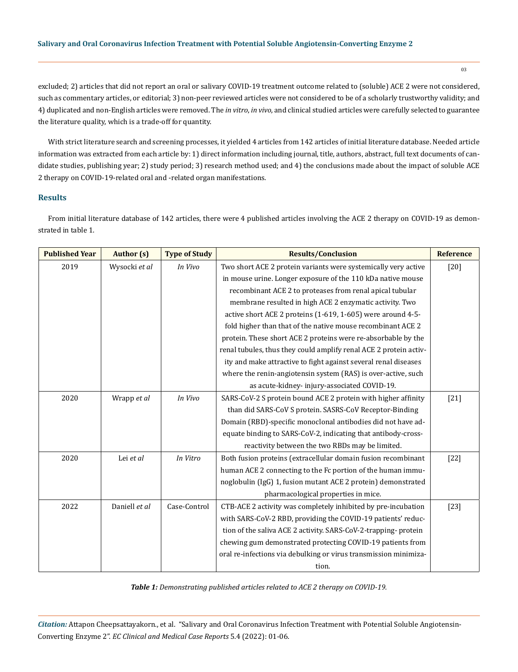# **Salivary and Oral Coronavirus Infection Treatment with Potential Soluble Angiotensin-Converting Enzyme 2**

03

excluded; 2) articles that did not report an oral or salivary COVID-19 treatment outcome related to (soluble) ACE 2 were not considered, such as commentary articles, or editorial; 3) non-peer reviewed articles were not considered to be of a scholarly trustworthy validity; and 4) duplicated and non-English articles were removed. The *in vitro*, *in vivo*, and clinical studied articles were carefully selected to guarantee the literature quality, which is a trade-off for quantity.

With strict literature search and screening processes, it yielded 4 articles from 142 articles of initial literature database. Needed article information was extracted from each article by: 1) direct information including journal, title, authors, abstract, full text documents of candidate studies, publishing year; 2) study period; 3) research method used; and 4) the conclusions made about the impact of soluble ACE 2 therapy on COVID-19-related oral and -related organ manifestations.

# **Results**

From initial literature database of 142 articles, there were 4 published articles involving the ACE 2 therapy on COVID-19 as demonstrated in table 1.

| <b>Published Year</b> | <b>Author</b> (s) | <b>Type of Study</b> | <b>Results/Conclusion</b>                                         | <b>Reference</b> |
|-----------------------|-------------------|----------------------|-------------------------------------------------------------------|------------------|
| 2019                  | Wysocki et al     | In Vivo              | Two short ACE 2 protein variants were systemically very active    | $[20]$           |
|                       |                   |                      | in mouse urine. Longer exposure of the 110 kDa native mouse       |                  |
|                       |                   |                      | recombinant ACE 2 to proteases from renal apical tubular          |                  |
|                       |                   |                      | membrane resulted in high ACE 2 enzymatic activity. Two           |                  |
|                       |                   |                      | active short ACE 2 proteins (1-619, 1-605) were around 4-5-       |                  |
|                       |                   |                      | fold higher than that of the native mouse recombinant ACE 2       |                  |
|                       |                   |                      | protein. These short ACE 2 proteins were re-absorbable by the     |                  |
|                       |                   |                      | renal tubules, thus they could amplify renal ACE 2 protein activ- |                  |
|                       |                   |                      | ity and make attractive to fight against several renal diseases   |                  |
|                       |                   |                      | where the renin-angiotensin system (RAS) is over-active, such     |                  |
|                       |                   |                      | as acute-kidney-injury-associated COVID-19.                       |                  |
| 2020                  | Wrapp et al       | In Vivo              | SARS-CoV-2 S protein bound ACE 2 protein with higher affinity     | $[21]$           |
|                       |                   |                      | than did SARS-CoV S protein. SASRS-CoV Receptor-Binding           |                  |
|                       |                   |                      | Domain (RBD)-specific monoclonal antibodies did not have ad-      |                  |
|                       |                   |                      | equate binding to SARS-CoV-2, indicating that antibody-cross-     |                  |
|                       |                   |                      | reactivity between the two RBDs may be limited.                   |                  |
| 2020                  | Lei et al         | In Vitro             | Both fusion proteins (extracellular domain fusion recombinant     | $[22]$           |
|                       |                   |                      | human ACE 2 connecting to the Fc portion of the human immu-       |                  |
|                       |                   |                      | noglobulin (IgG) 1, fusion mutant ACE 2 protein) demonstrated     |                  |
|                       |                   |                      | pharmacological properties in mice.                               |                  |
| 2022                  | Daniell et al     | Case-Control         | CTB-ACE 2 activity was completely inhibited by pre-incubation     | $[23]$           |
|                       |                   |                      | with SARS-CoV-2 RBD, providing the COVID-19 patients' reduc-      |                  |
|                       |                   |                      | tion of the saliva ACE 2 activity. SARS-CoV-2-trapping-protein    |                  |
|                       |                   |                      | chewing gum demonstrated protecting COVID-19 patients from        |                  |
|                       |                   |                      | oral re-infections via debulking or virus transmission minimiza-  |                  |
|                       |                   |                      | tion.                                                             |                  |

*Table 1: Demonstrating published articles related to ACE 2 therapy on COVID-19.*

*Citation:* Attapon Cheepsattayakorn., et al. "Salivary and Oral Coronavirus Infection Treatment with Potential Soluble Angiotensin-Converting Enzyme 2". *EC Clinical and Medical Case Reports* 5.4 (2022): 01-06.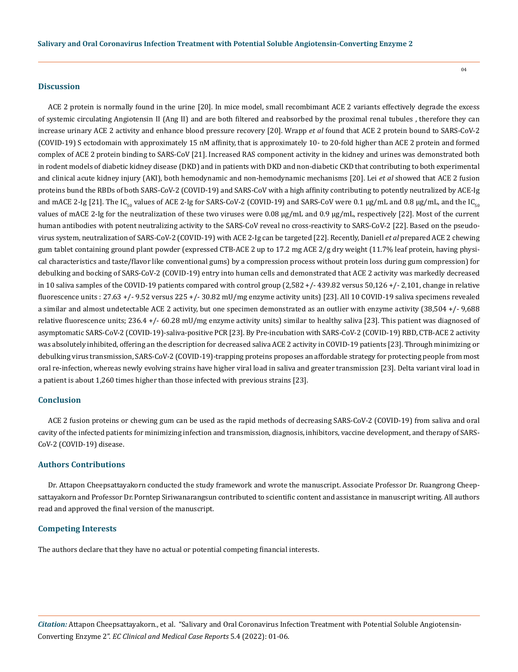## **Discussion**

ACE 2 protein is normally found in the urine [20]. In mice model, small recombimant ACE 2 variants effectively degrade the excess of systemic circulating Angiotensin II (Ang II) and are both filtered and reabsorbed by the proximal renal tubules , therefore they can increase urinary ACE 2 activity and enhance blood pressure recovery [20]. Wrapp *et al* found that ACE 2 protein bound to SARS-CoV-2 (COVID-19) S ectodomain with approximately 15 nM affinity, that is approximately 10- to 20-fold higher than ACE 2 protein and formed complex of ACE 2 protein binding to SARS-CoV [21]. Increased RAS component activity in the kidney and urines was demonstrated both in rodent models of diabetic kidney disease (DKD) and in patients with DKD and non-diabetic CKD that contributing to both experimental and clinical acute kidney injury (AKI), both hemodynamic and non-hemodynamic mechanisms [20]. Lei *et al* showed that ACE 2 fusion proteins bund the RBDs of both SARS-CoV-2 (COVID-19) and SARS-CoV with a high affinity contributing to potently neutralized by ACE-Ig and mACE 2-Ig [21]. The IC<sub>50</sub> values of ACE 2-Ig for SARS-CoV-2 (COVID-19) and SARS-CoV were 0.1 µg/mL and 0.8 µg/mL, and the IC<sub>50</sub> values of mACE 2-Ig for the neutralization of these two viruses were 0.08 µg/mL and 0.9 µg/mL, respectively [22]. Most of the current human antibodies with potent neutralizing activity to the SARS-CoV reveal no cross-reactivity to SARS-CoV-2 [22]. Based on the pseudovirus system, neutralization of SARS-CoV-2 (COVID-19) with ACE 2-Ig can be targeted [22]. Recently, Daniell *et al* prepared ACE 2 chewing gum tablet containing ground plant powder (expressed CTB-ACE 2 up to 17.2 mg ACE 2/g dry weight (11.7% leaf protein, having physical characteristics and taste/flavor like conventional gums) by a compression process without protein loss during gum compression) for debulking and bocking of SARS-CoV-2 (COVID-19) entry into human cells and demonstrated that ACE 2 activity was markedly decreased in 10 saliva samples of the COVID-19 patients compared with control group (2,582 +/- 439.82 versus 50,126 +/- 2,101, change in relative fluorescence units : 27.63 +/- 9.52 versus 225 +/- 30.82 mU/mg enzyme activity units) [23]. All 10 COVID-19 saliva specimens revealed a similar and almost undetectable ACE 2 activity, but one specimen demonstrated as an outlier with enzyme activity (38,504 +/- 9,688 relative fluorescence units; 236.4 +/- 60.28 mU/mg enzyme activity units) similar to healthy saliva [23]. This patient was diagnosed of asymptomatic SARS-CoV-2 (COVID-19)-saliva-positive PCR [23]. By Pre-incubation with SARS-CoV-2 (COVID-19) RBD, CTB-ACE 2 activity was absolutely inhibited, offering an the description for decreased saliva ACE 2 activity in COVID-19 patients [23]. Through minimizing or debulking virus transmission, SARS-CoV-2 (COVID-19)-trapping proteins proposes an affordable strategy for protecting people from most oral re-infection, whereas newly evolving strains have higher viral load in saliva and greater transmission [23]. Delta variant viral load in a patient is about 1,260 times higher than those infected with previous strains [23].

# **Conclusion**

ACE 2 fusion proteins or chewing gum can be used as the rapid methods of decreasing SARS-CoV-2 (COVID-19) from saliva and oral cavity of the infected patients for minimizing infection and transmission, diagnosis, inhibitors, vaccine development, and therapy of SARS-CoV-2 (COVID-19) disease.

## **Authors Contributions**

Dr. Attapon Cheepsattayakorn conducted the study framework and wrote the manuscript. Associate Professor Dr. Ruangrong Cheepsattayakorn and Professor Dr. Porntep Siriwanarangsun contributed to scientific content and assistance in manuscript writing. All authors read and approved the final version of the manuscript.

# **Competing Interests**

The authors declare that they have no actual or potential competing financial interests.

*Citation:* Attapon Cheepsattayakorn., et al. "Salivary and Oral Coronavirus Infection Treatment with Potential Soluble Angiotensin-Converting Enzyme 2". *EC Clinical and Medical Case Reports* 5.4 (2022): 01-06.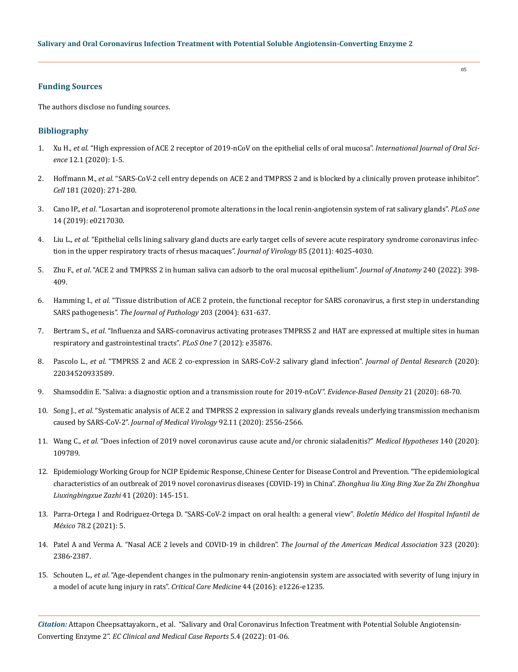## **Funding Sources**

The authors disclose no funding sources.

## **Bibliography**

- 1. Xu H., *et al*[. "High expression of ACE 2 receptor of 2019-nCoV on the epithelial cells of oral mucosa".](https://search.bvsalud.org/global-literature-on-novel-coronavirus-2019-ncov/resource/en/covidwho-997807) *International Journal of Oral Science* [12.1 \(2020\): 1-5.](https://search.bvsalud.org/global-literature-on-novel-coronavirus-2019-ncov/resource/en/covidwho-997807)
- 2. Hoffmann M., *et al*[. "SARS-CoV-2 cell entry depends on ACE 2 and TMPRSS 2 and is blocked by a clinically proven protease inhibitor".](https://pubmed.ncbi.nlm.nih.gov/32142651/)  *Cell* [181 \(2020\): 271-280.](https://pubmed.ncbi.nlm.nih.gov/32142651/)
- 3. Cano IP., *et al*[. "Losartan and isoproterenol promote alterations in the local renin-angiotensin system of rat salivary glands".](https://www.ncbi.nlm.nih.gov/pmc/articles/PMC6530859/) *PLoS one* [14 \(2019\): e0217030.](https://www.ncbi.nlm.nih.gov/pmc/articles/PMC6530859/)
- 4. Liu L., *et al*[. "Epithelial cells lining salivary gland ducts are early target cells of severe acute respiratory syndrome coronavirus infec](https://pubmed.ncbi.nlm.nih.gov/21289121/)[tion in the upper respiratory tracts of rhesus macaques".](https://pubmed.ncbi.nlm.nih.gov/21289121/) *Journal of Virology* 85 (2011): 4025-4030.
- 5. Zhu F., *et al*[. "ACE 2 and TMPRSS 2 in human saliva can adsorb to the oral mucosal epithelium".](https://mdpi-res.com/d_attachment/ijms/ijms-23-01431/article_deploy/ijms-23-01431.pdf) *Journal of Anatomy* 240 (2022): 398- [409.](https://mdpi-res.com/d_attachment/ijms/ijms-23-01431/article_deploy/ijms-23-01431.pdf)
- 6. Hamming I., *et al*[. "Tissue distribution of ACE 2 protein, the functional receptor for SARS coronavirus, a first step in understanding](https://pubmed.ncbi.nlm.nih.gov/15141377/)  SARS pathogenesis". *[The Journal of Pathology](https://pubmed.ncbi.nlm.nih.gov/15141377/)* 203 (2004): 631-637.
- 7. Bertram S., *et al*[. "Influenza and SARS-coronavirus activating proteases TMPRSS 2 and HAT are expressed at multiple sites in human](https://pubmed.ncbi.nlm.nih.gov/22558251/)  [respiratory and gastrointestinal tracts".](https://pubmed.ncbi.nlm.nih.gov/22558251/) *PLoS One* 7 (2012): e35876.
- 8. Pascolo L., *et al*[. "TMPRSS 2 and ACE 2 co-expression in SARS-CoV-2 salivary gland infection".](https://pubmed.ncbi.nlm.nih.gov/32479133/) *Journal of Dental Research* (2020): [22034520933589.](https://pubmed.ncbi.nlm.nih.gov/32479133/)
- 9. [Shamsoddin E. "Saliva: a diagnostic option and a transmission route for 2019-nCoV".](https://www.nature.com/articles/s41432-020-0104-8) *Evidence-Based Density* 21 (2020): 68-70.
- 10. Song J., *et al*[. "Systematic analysis of ACE 2 and TMPRSS 2 expression in salivary glands reveals underlying transmission mechanism](https://pubmed.ncbi.nlm.nih.gov/32441816/)  caused by SARS-CoV-2". *[Journal of Medical Virology](https://pubmed.ncbi.nlm.nih.gov/32441816/)* 92.11 (2020): 2556-2566.
- 11. Wang C., *et al*[. "Does infection of 2019 novel coronavirus cause acute and/or chronic sialadenitis?"](https://pubmed.ncbi.nlm.nih.gov/32361098/) *Medical Hypotheses* 140 (2020): [109789.](https://pubmed.ncbi.nlm.nih.gov/32361098/)
- 12. [Epidemiology Working Group for NCIP Epidemic Response, Chinese Center for Disease Control and Prevention. "The epidemiological](https://pubmed.ncbi.nlm.nih.gov/32064853/)  [characteristics of an outbreak of 2019 novel coronavirus diseases \(COVID-19\) in China".](https://pubmed.ncbi.nlm.nih.gov/32064853/) *Zhonghua liu Xing Bing Xue Za Zhi Zhonghua [Liuxingbingxue Zazhi](https://pubmed.ncbi.nlm.nih.gov/32064853/)* 41 (2020): 145-151.
- 13. [Parra-Ortega I and Rodriguez-Ortega D. "SARS-CoV-2 impact on oral health: a general view".](http://www.scielo.org.mx/scielo.php?script=sci_arttext&pid=S1665-11462021000200091) *Boletín Médico del Hospital Infantil de México* [78.2 \(2021\): 5.](http://www.scielo.org.mx/scielo.php?script=sci_arttext&pid=S1665-11462021000200091)
- 14. [Patel A and Verma A. "Nasal ACE 2 levels and COVID-19 in children".](https://pubmed.ncbi.nlm.nih.gov/32432681/) *The Journal of the American Medical Association* 323 (2020): [2386-2387.](https://pubmed.ncbi.nlm.nih.gov/32432681/)
- 15. Schouten L., *et al*[. "Age-dependent changes in the pulmonary renin-angiotensin system are associated with severity of lung injury in](https://pubmed.ncbi.nlm.nih.gov/27513359/)  [a model of acute lung injury in rats".](https://pubmed.ncbi.nlm.nih.gov/27513359/) *Critical Care Medicine* 44 (2016): e1226-e1235.

*Citation:* Attapon Cheepsattayakorn., et al. "Salivary and Oral Coronavirus Infection Treatment with Potential Soluble Angiotensin-Converting Enzyme 2". *EC Clinical and Medical Case Reports* 5.4 (2022): 01-06.